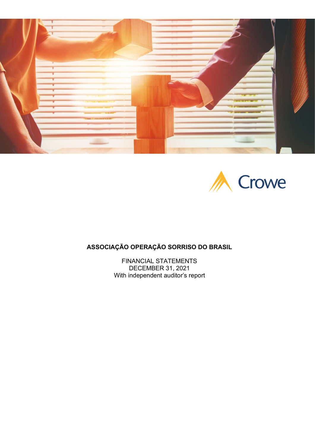



# ASSOCIAÇÃO OPERAÇÃO SORRISO DO BRASIL

FINANCIAL STATEMENTS DECEMBER 31, 2021 With independent auditor's report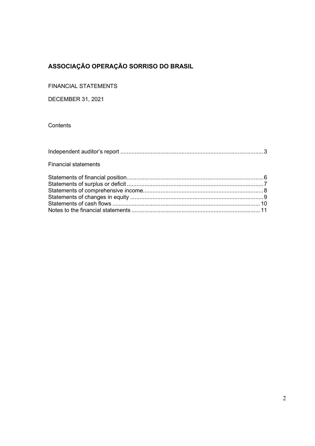# ASSOCIAÇÃO OPERAÇÃO SORRISO DO BRASIL

# FINANCIAL STATEMENTS

DECEMBER 31, 2021

**Contents** 

| <b>Financial statements</b> |  |
|-----------------------------|--|
|                             |  |
|                             |  |
|                             |  |
|                             |  |
|                             |  |
|                             |  |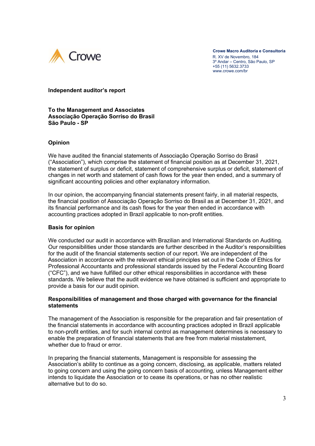

Crowe Macro Auditoria e Consultoria R. XV de Novembro, 184 3º Andar – Centro, São Paulo, SP +55 (11) 5632.3733 www.crowe.com/br

Independent auditor's report

To the Management and Associates Associação Operação Sorriso do Brasil São Paulo - SP

#### **Opinion**

We have audited the financial statements of Associação Operação Sorriso do Brasil ("Association"), which comprise the statement of financial position as at December 31, 2021, the statement of surplus or deficit, statement of comprehensive surplus or deficit, statement of changes in net worth and statement of cash flows for the year then ended, and a summary of significant accounting policies and other explanatory information.

In our opinion, the accompanying financial statements present fairly, in all material respects, the financial position of Associação Operação Sorriso do Brasil as at December 31, 2021, and its financial performance and its cash flows for the year then ended in accordance with accounting practices adopted in Brazil applicable to non-profit entities.

#### Basis for opinion

We conducted our audit in accordance with Brazilian and International Standards on Auditing. Our responsibilities under those standards are further described in the Auditor's responsibilities for the audit of the financial statements section of our report. We are independent of the Association in accordance with the relevant ethical principles set out in the Code of Ethics for Professional Accountants and professional standards issued by the Federal Accounting Board ("CFC"), and we have fulfilled our other ethical responsibilities in accordance with these standards. We believe that the audit evidence we have obtained is sufficient and appropriate to provide a basis for our audit opinion.

#### Responsibilities of management and those charged with governance for the financial statements

The management of the Association is responsible for the preparation and fair presentation of the financial statements in accordance with accounting practices adopted in Brazil applicable to non-profit entities, and for such internal control as management determines is necessary to enable the preparation of financial statements that are free from material misstatement, whether due to fraud or error.

In preparing the financial statements, Management is responsible for assessing the Association's ability to continue as a going concern, disclosing, as applicable, matters related to going concern and using the going concern basis of accounting, unless Management either intends to liquidate the Association or to cease its operations, or has no other realistic alternative but to do so.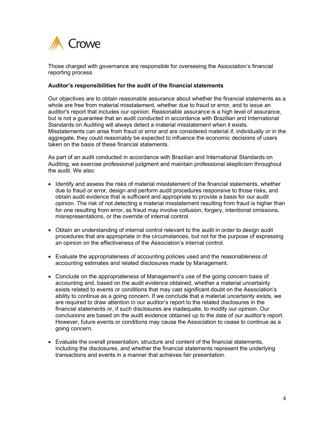

Those charged with governance are responsible for overseeing the Association's financial reporting process.

#### Auditor's responsibilities for the audit of the financial statements

Our objectives are to obtain reasonable assurance about whether the financial statements as a whole are free from material misstatement, whether due to fraud or error, and to issue an auditor's report that includes our opinion. Reasonable assurance is a high level of assurance, but is not a guarantee that an audit conducted in accordance with Brazilian and International Standards on Auditing will always detect a material misstatement when it exists. Misstatements can arise from fraud or error and are considered material if, individually or in the aggregate, they could reasonably be expected to influence the economic decisions of users taken on the basis of these financial statements.

As part of an audit conducted in accordance with Brazilian and International Standards on Auditing, we exercise professional judgment and maintain professional skepticism throughout the audit. We also:

- Identify and assess the risks of material misstatement of the financial statements, whether due to fraud or error, design and perform audit procedures responsive to those risks, and obtain audit evidence that is sufficient and appropriate to provide a basis for our audit opinion. The risk of not detecting a material misstatement resulting from fraud is higher than for one resulting from error, as fraud may involve collusion, forgery, intentional omissions, misrepresentations, or the override of internal control.
- Obtain an understanding of internal control relevant to the audit in order to design audit procedures that are appropriate in the circumstances, but not for the purpose of expressing an opinion on the effectiveness of the Association's internal control.
- Evaluate the appropriateness of accounting policies used and the reasonableness of accounting estimates and related disclosures made by Management.
- Conclude on the appropriateness of Management's use of the going concern basis of accounting and, based on the audit evidence obtained, whether a material uncertainty exists related to events or conditions that may cast significant doubt on the Association's ability to continue as a going concern. If we conclude that a material uncertainty exists, we are required to draw attention in our auditor's report to the related disclosures in the financial statements or, if such disclosures are inadequate, to modify our opinion. Our conclusions are based on the audit evidence obtained up to the date of our auditor's report. However, future events or conditions may cause the Association to cease to continue as a going concern.
- Evaluate the overall presentation, structure and content of the financial statements, including the disclosures, and whether the financial statements represent the underlying transactions and events in a manner that achieves fair presentation.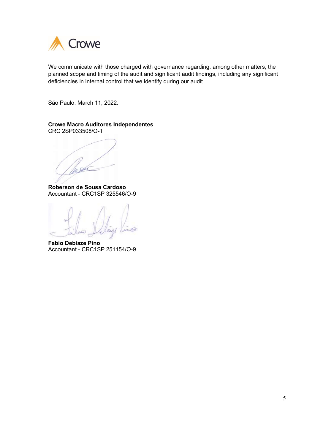

We communicate with those charged with governance regarding, among other matters, the planned scope and timing of the audit and significant audit findings, including any significant deficiencies in internal control that we identify during our audit.

São Paulo, March 11, 2022.

Crowe Macro Auditores Independentes CRC 2SP033508/O-1

Roberson de Sousa Cardoso Accountant - CRC1SP 325546/O-9

Fabio Debiaze Pino Accountant - CRC1SP 251154/O-9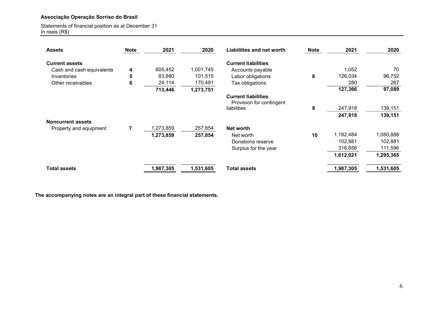Statements of financial position as at December 31 In reais (R\$)

| <b>Assets</b>             | <b>Note</b> | 2021      | 2020      | Liabilities and net worth                              | <b>Note</b> | 2021      | 2020      |
|---------------------------|-------------|-----------|-----------|--------------------------------------------------------|-------------|-----------|-----------|
| <b>Current assets</b>     |             |           |           | <b>Current liabilities</b>                             |             |           |           |
| Cash and cash equivalents | 4           | 605,452   | 1,001,745 | Accounts payable                                       |             | 1,052     | 70        |
| Inventories               | 5           | 83,880    | 101,515   | Labor obligations                                      | 8           | 126,034   | 96,752    |
| Other receivables         | 6           | 24,114    | 170,491   | Tax obligations                                        |             | 280       | 267       |
|                           |             | 713,446   | 1,273,751 |                                                        |             | 127,366   | 97,089    |
|                           |             |           |           | <b>Current liabilities</b><br>Provision for contingent |             |           |           |
|                           |             |           |           | liabilities                                            | 9           | 247,918   | 139,151   |
|                           |             |           |           |                                                        |             | 247,918   | 139,151   |
| <b>Noncurrent assets</b>  |             |           |           |                                                        |             |           |           |
| Property and equipment    | 7           | 1,273,859 | 257,854   | Net worth                                              |             |           |           |
|                           |             | 1,273,859 | 257,854   | Net worth                                              | 10          | 1,192,484 | 1,080,888 |
|                           |             |           |           | Donations reserve                                      |             | 102,881   | 102,881   |
|                           |             |           |           | Surplus for the year                                   |             | 316,656   | 111,596   |
|                           |             |           |           |                                                        |             | 1,612,021 | 1,295,365 |
| <b>Total assets</b>       |             | 1,987,305 | 1,531,605 | Total assets                                           |             | 1,987,305 | 1,531,605 |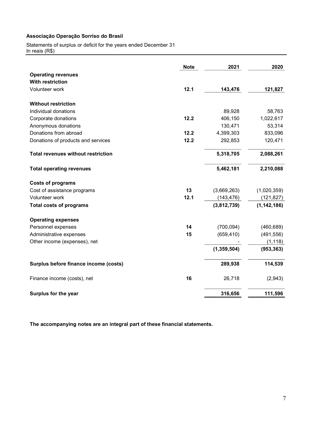Statements of surplus or deficit for the years ended December 31 In reais (R\$)

|                                           | <b>Note</b> | 2021          | 2020          |
|-------------------------------------------|-------------|---------------|---------------|
| <b>Operating revenues</b>                 |             |               |               |
| <b>With restriction</b>                   |             |               |               |
| Volunteer work                            | 12.1        | 143,476       | 121,827       |
| <b>Without restriction</b>                |             |               |               |
| Individual donations                      |             | 89,928        | 58,763        |
| Corporate donations                       | 12.2        | 406,150       | 1,022,617     |
| Anonymous donations                       |             | 130,471       | 53,314        |
| Donations from abroad                     | 12.2        | 4,399,303     | 833,096       |
| Donations of products and services        | 12.2        | 292,853       | 120,471       |
| <b>Total revenues without restriction</b> |             | 5,318,705     | 2,088,261     |
| <b>Total operating revenues</b>           |             | 5,462,181     | 2,210,088     |
| <b>Costs of programs</b>                  |             |               |               |
| Cost of assistance programs               | 13          | (3,669,263)   | (1,020,359)   |
| Volunteer work                            | 12.1        | (143, 476)    | (121, 827)    |
| <b>Total costs of programs</b>            |             | (3,812,739)   | (1, 142, 186) |
| <b>Operating expenses</b>                 |             |               |               |
| Personnel expenses                        | 14          | (700, 094)    | (460, 689)    |
| Administrative expenses                   | 15          | (659, 410)    | (491, 556)    |
| Other income (expenses), net              |             |               | (1, 118)      |
|                                           |             | (1, 359, 504) | (953, 363)    |
| Surplus before finance income (costs)     |             | 289,938       | 114,539       |
| Finance income (costs), net               | 16          | 26,718        | (2,943)       |
| Surplus for the year                      |             | 316,656       | 111,596       |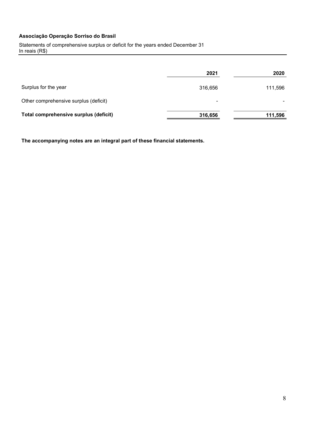Statements of comprehensive surplus or deficit for the years ended December 31 In reais (R\$)

|                                       | 2021    | 2020    |
|---------------------------------------|---------|---------|
| Surplus for the year                  | 316,656 | 111,596 |
| Other comprehensive surplus (deficit) |         |         |
| Total comprehensive surplus (deficit) | 316,656 | 111,596 |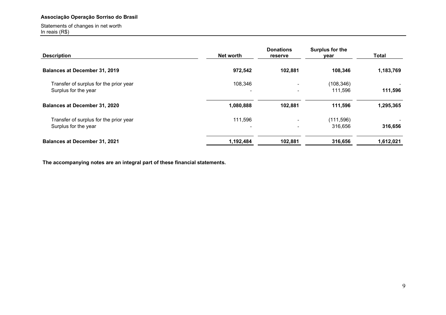Statements of changes in net worth In reais (R\$)

| <b>Description</b>                                             | Net worth                           | <b>Donations</b><br>reserve | <b>Surplus for the</b><br>year | Total     |
|----------------------------------------------------------------|-------------------------------------|-----------------------------|--------------------------------|-----------|
| <b>Balances at December 31, 2019</b>                           | 972,542                             | 102,881                     | 108,346                        | 1,183,769 |
| Transfer of surplus for the prior year<br>Surplus for the year | 108,346                             |                             | (108, 346)<br>111.596          | 111,596   |
| <b>Balances at December 31, 2020</b>                           | 1,080,888                           | 102,881                     | 111,596                        | 1,295,365 |
| Transfer of surplus for the prior year<br>Surplus for the year | 111,596<br>$\overline{\phantom{0}}$ |                             | (111, 596)<br>316,656          | 316,656   |
| <b>Balances at December 31, 2021</b>                           | 1,192,484                           | 102,881                     | 316,656                        | 1,612,021 |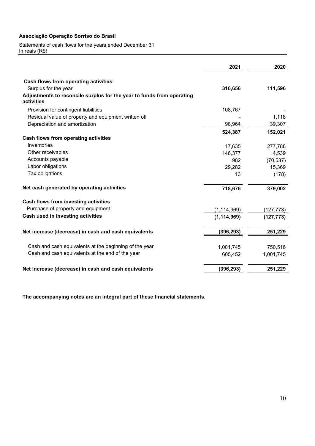Statements of cash flows for the years ended December 31 In reais (R\$)

|                                                                                     | 2021          | 2020       |
|-------------------------------------------------------------------------------------|---------------|------------|
| Cash flows from operating activities:                                               |               |            |
| Surplus for the year                                                                | 316,656       | 111,596    |
| Adjustments to reconcile surplus for the year to funds from operating<br>activities |               |            |
| Provision for contingent liabilities                                                | 108,767       |            |
| Residual value of property and equipment written off                                |               | 1,118      |
| Depreciation and amortization                                                       | 98,964        | 39,307     |
|                                                                                     | 524,387       | 152,021    |
| Cash flows from operating activities                                                |               |            |
| Inventories                                                                         | 17,635        | 277,788    |
| Other receivables                                                                   | 146,377       | 4,539      |
| Accounts payable                                                                    | 982           | (70, 537)  |
| Labor obligations                                                                   | 29,282        | 15,369     |
| Tax obligations                                                                     | 13            | (178)      |
| Net cash generated by operating activities                                          | 718,676       | 379,002    |
| <b>Cash flows from investing activities</b>                                         |               |            |
| Purchase of property and equipment                                                  | (1, 114, 969) | (127, 773) |
| Cash used in investing activities                                                   | (1, 114, 969) | (127, 773) |
| Net increase (decrease) in cash and cash equivalents                                | (396,293)     | 251,229    |
| Cash and cash equivalents at the beginning of the year                              |               |            |
| Cash and cash equivalents at the end of the year                                    | 1,001,745     | 750,516    |
|                                                                                     | 605,452       | 1,001,745  |
| Net increase (decrease) in cash and cash equivalents                                | (396, 293)    | 251,229    |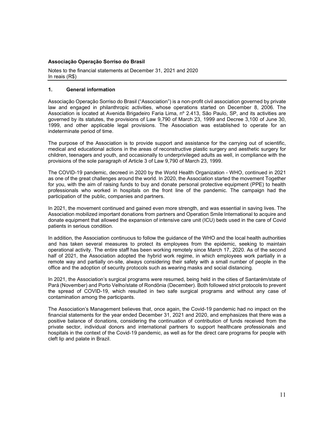Notes to the financial statements at December 31, 2021 and 2020 In reais (R\$)

#### 1. General information

Associação Operação Sorriso do Brasil ("Association") is a non-profit civil association governed by private law and engaged in philanthropic activities, whose operations started on December 8, 2006. The Association is located at Avenida Brigadeiro Faria Lima, nº 2.413, São Paulo, SP, and its activities are governed by its statutes, the provisions of Law 9,790 of March 23, 1999 and Decree 3,100 of June 30, 1999, and other applicable legal provisions. The Association was established to operate for an indeterminate period of time.

The purpose of the Association is to provide support and assistance for the carrying out of scientific, medical and educational actions in the areas of reconstructive plastic surgery and aesthetic surgery for children, teenagers and youth, and occasionally to underprivileged adults as well, in compliance with the provisions of the sole paragraph of Article 3 of Law 9,790 of March 23, 1999.

The COVID-19 pandemic, decreed in 2020 by the World Health Organization - WHO, continued in 2021 as one of the great challenges around the world. In 2020, the Association started the movement Together for you, with the aim of raising funds to buy and donate personal protective equipment (PPE) to health professionals who worked in hospitals on the front line of the pandemic. The campaign had the participation of the public, companies and partners.

In 2021, the movement continued and gained even more strength, and was essential in saving lives. The Association mobilized important donations from partners and Operation Smile International to acquire and donate equipment that allowed the expansion of intensive care unit (ICU) beds used in the care of Covid patients in serious condition.

In addition, the Association continuous to follow the guidance of the WHO and the local health authorities and has taken several measures to protect its employees from the epidemic, seeking to maintain operational activity. The entire staff has been working remotely since March 17, 2020. As of the second half of 2021, the Association adopted the hybrid work regime, in which employees work partially in a remote way and partially on-site, always considering their safety with a small number of people in the office and the adoption of security protocols such as wearing masks and social distancing.

In 2021, the Association's surgical programs were resumed, being held in the cities of Santarém/state of Pará (November) and Porto Velho/state of Rondônia (December). Both followed strict protocols to prevent the spread of COVID-19, which resulted in two safe surgical programs and without any case of contamination among the participants.

The Association's Management believes that, once again, the Covid-19 pandemic had no impact on the financial statements for the year ended December 31, 2021 and 2020, and emphasizes that there was a positive balance of donations, considering the continuation of contribution of funds received from the private sector, individual donors and international partners to support healthcare professionals and hospitals in the context of the Covid-19 pandemic, as well as for the direct care programs for people with cleft lip and palate in Brazil.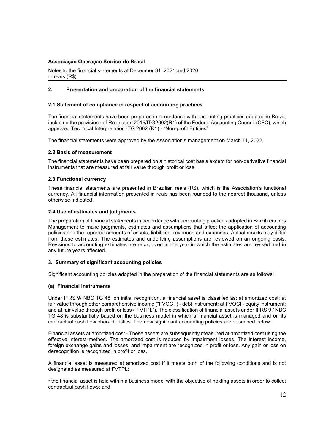Notes to the financial statements at December 31, 2021 and 2020 In reais (R\$)

#### 2. Presentation and preparation of the financial statements

#### 2.1 Statement of compliance in respect of accounting practices

The financial statements have been prepared in accordance with accounting practices adopted in Brazil, including the provisions of Resolution 2015/ITG2002(R1) of the Federal Accounting Council (CFC), which approved Technical Interpretation ITG 2002 (R1) - "Non-profit Entities".

The financial statements were approved by the Association's management on March 11, 2022.

#### 2.2 Basis of measurement

The financial statements have been prepared on a historical cost basis except for non-derivative financial instruments that are measured at fair value through profit or loss.

#### 2.3 Functional currency

These financial statements are presented in Brazilian reais (R\$), which is the Association's functional currency. All financial information presented in reais has been rounded to the nearest thousand, unless otherwise indicated.

#### 2.4 Use of estimates and judgments

The preparation of financial statements in accordance with accounting practices adopted in Brazil requires Management to make judgments, estimates and assumptions that affect the application of accounting policies and the reported amounts of assets, liabilities, revenues and expenses. Actual results may differ from those estimates. The estimates and underlying assumptions are reviewed on an ongoing basis. Revisions to accounting estimates are recognized in the year in which the estimates are revised and in any future years affected.

#### 3. Summary of significant accounting policies

Significant accounting policies adopted in the preparation of the financial statements are as follows:

#### (a) Financial instruments

Under IFRS 9/ NBC TG 48, on initial recognition, a financial asset is classified as: at amortized cost; at fair value through other comprehensive income ("FVOCI") - debt instrument; at FVOCI - equity instrument; and at fair value through profit or loss ("FVTPL"). The classification of financial assets under IFRS 9 / NBC TG 48 is substantially based on the business model in which a financial asset is managed and on its contractual cash flow characteristics. The new significant accounting policies are described below:

Financial assets at amortized cost - These assets are subsequently measured at amortized cost using the effective interest method. The amortized cost is reduced by impairment losses. The interest income, foreign exchange gains and losses, and impairment are recognized in profit or loss. Any gain or loss on derecognition is recognized in profit or loss.

A financial asset is measured at amortized cost if it meets both of the following conditions and is not designated as measured at FVTPL:

• the financial asset is held within a business model with the objective of holding assets in order to collect contractual cash flows; and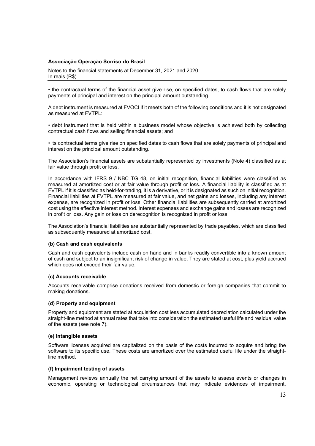Notes to the financial statements at December 31, 2021 and 2020 In reais (R\$)

• the contractual terms of the financial asset give rise, on specified dates, to cash flows that are solely payments of principal and interest on the principal amount outstanding.

A debt instrument is measured at FVOCI if it meets both of the following conditions and it is not designated as measured at FVTPL:

• debt instrument that is held within a business model whose objective is achieved both by collecting contractual cash flows and selling financial assets; and

• its contractual terms give rise on specified dates to cash flows that are solely payments of principal and interest on the principal amount outstanding.

The Association's financial assets are substantially represented by investments (Note 4) classified as at fair value through profit or loss.

In accordance with IFRS 9 / NBC TG 48, on initial recognition, financial liabilities were classified as measured at amortized cost or at fair value through profit or loss. A financial liability is classified as at FVTPL if it is classified as held-for-trading, it is a derivative, or it is designated as such on initial recognition. Financial liabilities at FVTPL are measured at fair value, and net gains and losses, including any interest expense, are recognized in profit or loss. Other financial liabilities are subsequently carried at amortized cost using the effective interest method. Interest expenses and exchange gains and losses are recognized in profit or loss. Any gain or loss on derecognition is recognized in profit or loss.

The Association's financial liabilities are substantially represented by trade payables, which are classified as subsequently measured at amortized cost.

#### (b) Cash and cash equivalents

Cash and cash equivalents include cash on hand and in banks readily convertible into a known amount of cash and subject to an insignificant risk of change in value. They are stated at cost, plus yield accrued which does not exceed their fair value.

#### (c) Accounts receivable

Accounts receivable comprise donations received from domestic or foreign companies that commit to making donations.

#### (d) Property and equipment

Property and equipment are stated at acquisition cost less accumulated depreciation calculated under the straight-line method at annual rates that take into consideration the estimated useful life and residual value of the assets (see note 7).

#### (e) Intangible assets

Software licenses acquired are capitalized on the basis of the costs incurred to acquire and bring the software to its specific use. These costs are amortized over the estimated useful life under the straightline method.

#### (f) Impairment testing of assets

Management reviews annually the net carrying amount of the assets to assess events or changes in economic, operating or technological circumstances that may indicate evidences of impairment.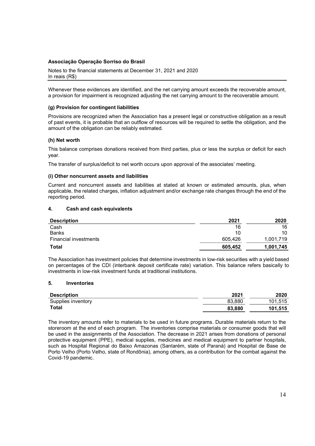Notes to the financial statements at December 31, 2021 and 2020 In reais (R\$)

Whenever these evidences are identified, and the net carrying amount exceeds the recoverable amount, a provision for impairment is recognized adjusting the net carrying amount to the recoverable amount.

#### (g) Provision for contingent liabilities

Provisions are recognized when the Association has a present legal or constructive obligation as a result of past events, it is probable that an outflow of resources will be required to settle the obligation, and the amount of the obligation can be reliably estimated.

#### (h) Net worth

This balance comprises donations received from third parties, plus or less the surplus or deficit for each year.

The transfer of surplus/deficit to net worth occurs upon approval of the associates' meeting.

#### (i) Other noncurrent assets and liabilities

Current and noncurrent assets and liabilities at stated at known or estimated amounts, plus, when applicable, the related charges, inflation adjustment and/or exchange rate changes through the end of the reporting period.

#### 4. Cash and cash equivalents

| <b>Description</b>           | 2021    | 2020      |
|------------------------------|---------|-----------|
| Cash                         | 16      | 16        |
| <b>Banks</b>                 | 10      | 10        |
| <b>Financial investments</b> | 605.426 | 1,001,719 |
| <b>Total</b>                 | 605,452 | 1,001,745 |

The Association has investment policies that determine investments in low-risk securities with a yield based on percentages of the CDI (interbank deposit certificate rate) variation. This balance refers basically to investments in low-risk investment funds at traditional institutions.

#### 5. Inventories

| <b>Description</b> | 2021   | 2020    |
|--------------------|--------|---------|
| Supplies inventory | 83.880 | 101.515 |
| Total              | 83,880 | 101.515 |

The inventory amounts refer to materials to be used in future programs. Durable materials return to the storeroom at the end of each program. The inventories comprise materials or consumer goods that will be used in the assignments of the Association. The decrease in 2021 arises from donations of personal protective equipment (PPE), medical supplies, medicines and medical equipment to partner hospitals, such as Hospital Regional do Baixo Amazonas (Santarém, state of Paraná) and Hospital de Base de Porto Velho (Porto Velho, state of Rondônia), among others, as a contribution for the combat against the Covid-19 pandemic.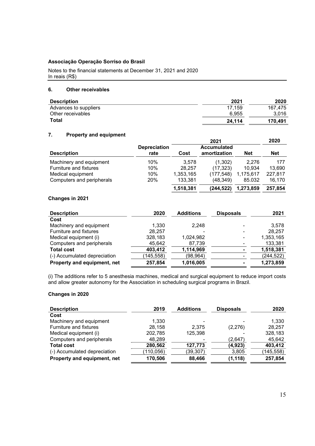Notes to the financial statements at December 31, 2021 and 2020 In reais (R\$)

#### 6. Other receivables

| 2021   | 2020    |
|--------|---------|
| 17.159 | 167.475 |
| 6.955  | 3.016   |
| 24.114 | 170.491 |
|        |         |

#### 7. Property and equipment

|                           |                                     | 2021      |                                                  |           | 2020       |
|---------------------------|-------------------------------------|-----------|--------------------------------------------------|-----------|------------|
| <b>Description</b>        | <b>Depreciation</b><br>Cost<br>rate |           | <b>Accumulated</b><br>amortization<br><b>Net</b> |           | <b>Net</b> |
| Machinery and equipment   | 10%                                 | 3.578     | (1,302)                                          | 2.276     | 177        |
| Furniture and fixtures    | 10%                                 | 28.257    | (17, 323)                                        | 10.934    | 13.690     |
| Medical equipment         | 10%                                 | 1,353,165 | (177, 548)                                       | 1,175,617 | 227.817    |
| Computers and peripherals | <b>20%</b>                          | 133.381   | (48, 349)                                        | 85.032    | 16,170     |
|                           |                                     | 1,518,381 | (244.522)                                        | 1,273,859 | 257,854    |

#### Changes in 2021

| <b>Description</b>           | 2020       | <b>Additions</b> | <b>Disposals</b> | 2021       |
|------------------------------|------------|------------------|------------------|------------|
| Cost                         |            |                  |                  |            |
| Machinery and equipment      | 1.330      | 2.248            | -                | 3,578      |
| Furniture and fixtures       | 28,257     |                  | ۰                | 28,257     |
| Medical equipment (i)        | 328,183    | 1,024,982        | ۰                | 1,353,165  |
| Computers and peripherals    | 45,642     | 87,739           |                  | 133,381    |
| <b>Total cost</b>            | 403,412    | 1,114,969        |                  | 1,518,381  |
| (-) Accumulated depreciation | (145, 558) | (98, 964)        |                  | (244, 522) |
| Property and equipment, net  | 257,854    | 1,016,005        |                  | 1,273,859  |

(i) The additions refer to 5 anesthesia machines, medical and surgical equipment to reduce import costs and allow greater autonomy for the Association in scheduling surgical programs in Brazil.

#### Changes in 2020

| <b>Description</b>           | 2019       | <b>Additions</b> | <b>Disposals</b> | 2020      |
|------------------------------|------------|------------------|------------------|-----------|
| Cost                         |            |                  |                  |           |
| Machinery and equipment      | 1.330      |                  |                  | 1.330     |
| Furniture and fixtures       | 28,158     | 2.375            | (2,276)          | 28,257    |
| Medical equipment (i)        | 202.785    | 125.398          |                  | 328,183   |
| Computers and peripherals    | 48,289     |                  | (2,647)          | 45,642    |
| <b>Total cost</b>            | 280,562    | 127,773          | (4,923)          | 403,412   |
| (-) Accumulated depreciation | (110, 056) | (39,307)         | 3,805            | (145,558) |
| Property and equipment, net  | 170,506    | 88,466           | (1, 118)         | 257,854   |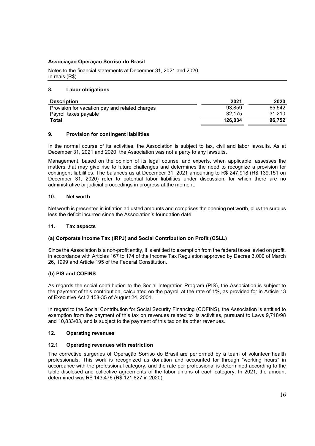Notes to the financial statements at December 31, 2021 and 2020 In reais (R\$)

#### 8. Labor obligations

| <b>Description</b>                             | 2021    | 2020   |
|------------------------------------------------|---------|--------|
| Provision for vacation pay and related charges | 93.859  | 65.542 |
| Payroll taxes payable                          | 32.175  | 31.210 |
| Total                                          | 126.034 | 96.752 |

#### 9. Provision for contingent liabilities

In the normal course of its activities, the Association is subject to tax, civil and labor lawsuits. As at December 31, 2021 and 2020, the Association was not a party to any lawsuits.

Management, based on the opinion of its legal counsel and experts, when applicable, assesses the matters that may give rise to future challenges and determines the need to recognize a provision for contingent liabilities. The balances as at December 31, 2021 amounting to R\$ 247,918 (R\$ 139,151 on December 31, 2020) refer to potential labor liabilities under discussion, for which there are no administrative or judicial proceedings in progress at the moment.

#### 10. Net worth

Net worth is presented in inflation adjusted amounts and comprises the opening net worth, plus the surplus less the deficit incurred since the Association's foundation date.

#### 11. Tax aspects

#### (a) Corporate Income Tax (IRPJ) and Social Contribution on Profit (CSLL)

Since the Association is a non-profit entity, it is entitled to exemption from the federal taxes levied on profit, in accordance with Articles 167 to 174 of the Income Tax Regulation approved by Decree 3,000 of March 26, 1999 and Article 195 of the Federal Constitution.

#### (b) PIS and COFINS

As regards the social contribution to the Social Integration Program (PIS), the Association is subject to the payment of this contribution, calculated on the payroll at the rate of 1%, as provided for in Article 13 of Executive Act 2,158-35 of August 24, 2001.

In regard to the Social Contribution for Social Security Financing (COFINS), the Association is entitled to exemption from the payment of this tax on revenues related to its activities, pursuant to Laws 9,718/98 and 10,833/03, and is subject to the payment of this tax on its other revenues.

#### 12. Operating revenues

#### 12.1 Operating revenues with restriction

The corrective surgeries of Operação Sorriso do Brasil are performed by a team of volunteer health professionals. This work is recognized as donation and accounted for through "working hours" in accordance with the professional category, and the rate per professional is determined according to the table disclosed and collective agreements of the labor unions of each category. In 2021, the amount determined was R\$ 143,476 (R\$ 121,827 in 2020).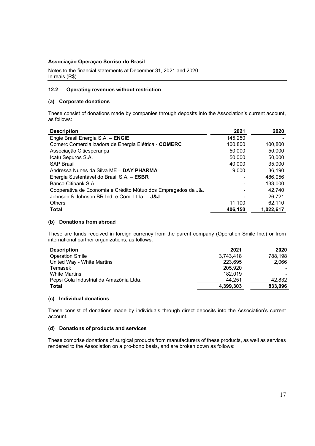Notes to the financial statements at December 31, 2021 and 2020 In reais (R\$)

#### 12.2 Operating revenues without restriction

#### (a) Corporate donations

These consist of donations made by companies through deposits into the Association's current account, as follows:

| <b>Description</b>                                            | 2021    | 2020      |
|---------------------------------------------------------------|---------|-----------|
| Engie Brasil Energia S.A. - ENGIE                             | 145,250 |           |
| Comerc Comercializadora de Energia Elétrica - COMERC          | 100,800 | 100,800   |
| Associação Citiesperança                                      | 50,000  | 50,000    |
| Icatu Seguros S.A.                                            | 50.000  | 50,000    |
| <b>SAP Brasil</b>                                             | 40,000  | 35,000    |
| Andressa Nunes da Silva ME - DAY PHARMA                       | 9.000   | 36,190    |
| Energia Sustentável do Brasil S.A. - ESBR                     |         | 486.056   |
| Banco Citibank S.A.                                           |         | 133,000   |
| Cooperativa de Economia e Crédito Mútuo dos Empregados da J&J |         | 42.740    |
| Johnson & Johnson BR Ind. e Com. Ltda. - J&J                  |         | 26.721    |
| <b>Others</b>                                                 | 11,100  | 62,110    |
| <b>Total</b>                                                  | 406,150 | 1,022,617 |

#### (b) Donations from abroad

These are funds received in foreign currency from the parent company (Operation Smile Inc.) or from international partner organizations, as follows:

| <b>Description</b>                      | 2021      | 2020    |
|-----------------------------------------|-----------|---------|
| <b>Operation Smile</b>                  | 3,743,418 | 788,198 |
| United Way - White Martins              | 223,695   | 2,066   |
| Temasek                                 | 205.920   |         |
| <b>White Martins</b>                    | 182.019   |         |
| Pepsi Cola Industrial da Amazônia Ltda. | 44,251    | 42,832  |
| <b>Total</b>                            | 4,399,303 | 833,096 |

#### (c) Individual donations

These consist of donations made by individuals through direct deposits into the Association's current account.

#### (d) Donations of products and services

These comprise donations of surgical products from manufacturers of these products, as well as services rendered to the Association on a pro-bono basis, and are broken down as follows: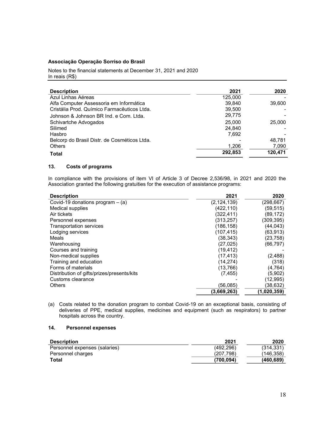Notes to the financial statements at December 31, 2021 and 2020 In reais (R\$)

| <b>Description</b>                           | 2021    | 2020    |
|----------------------------------------------|---------|---------|
| Azul Linhas Aéreas                           | 125,000 |         |
| Alfa Computer Assessoria em Informática      | 39,840  | 39,600  |
| Cristália Prod. Químico Farmacêuticos Ltda.  | 39,500  |         |
| Johnson & Johnson BR Ind. e Com. Ltda.       | 29,775  |         |
| Schivartche Advogados                        | 25,000  | 25,000  |
| Silimed                                      | 24.840  |         |
| Hasbro                                       | 7,692   |         |
| Belcorp do Brasil Distr. de Cosméticos Ltda. |         | 48.781  |
| <b>Others</b>                                | 1,206   | 7,090   |
| <b>Total</b>                                 | 292,853 | 120,471 |

#### 13. Costs of programs

In compliance with the provisions of item VI of Article 3 of Decree 2,536/98, in 2021 and 2020 the Association granted the following gratuities for the execution of assistance programs:

| <b>Description</b>                         | 2021          | 2020        |
|--------------------------------------------|---------------|-------------|
| Covid-19 donations program $-$ (a)         | (2, 124, 139) | (298, 667)  |
| Medical supplies                           | (422, 110)    | (59,515)    |
| Air tickets                                | (322,411)     | (89,172)    |
| Personnel expenses                         | (313, 257)    | (309, 395)  |
| <b>Transportation services</b>             | (186,158)     | (44, 043)   |
| Lodging services                           | (107, 415)    | (63, 913)   |
| Meals                                      | (38, 343)     | (23, 758)   |
| Warehousing                                | (27, 025)     | (66,797)    |
| Courses and training                       | (19,412)      |             |
| Non-medical supplies                       | (17, 413)     | (2, 488)    |
| Training and education                     | (14,274)      | (318)       |
| Forms of materials                         | (13,766)      | (4, 764)    |
| Distribution of gifts/prizes/presents/kits | (7, 455)      | (5,902)     |
| Customs clearance                          |               | (12, 995)   |
| <b>Others</b>                              | (56,085)      | (38, 632)   |
|                                            | (3,669,263)   | (1,020,359) |

(a) Costs related to the donation program to combat Covid-19 on an exceptional basis, consisting of deliveries of PPE, medical supplies, medicines and equipment (such as respirators) to partner hospitals across the country.

#### 14. Personnel expenses

| <b>Description</b>            | 2021       | 2020       |
|-------------------------------|------------|------------|
| Personnel expenses (salaries) | (492, 296) | (314, 331) |
| Personnel charges             | (207.798)  | (146.358)  |
| Total                         | (700, 094) | (460,689)  |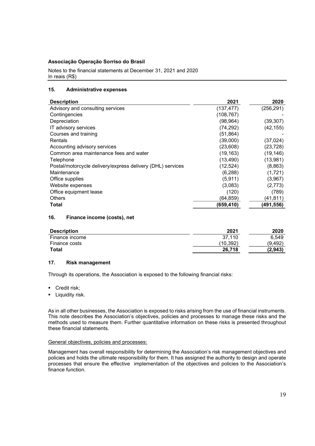Notes to the financial statements at December 31, 2021 and 2020 In reais (R\$)

#### 15. Administrative expenses

| <b>Description</b>                                         | 2021      | 2020       |
|------------------------------------------------------------|-----------|------------|
| Advisory and consulting services                           | (137,477) | (256, 291) |
| Contingencies                                              | (108,767) |            |
| Depreciation                                               | (98,964)  | (39, 307)  |
| IT advisory services                                       | (74, 292) | (42, 155)  |
| Courses and training                                       | (51,864)  |            |
| Rentals                                                    | (39,000)  | (37, 024)  |
| Accounting advisory services                               | (23,608)  | (23,728)   |
| Common area maintenance fees and water                     | (19, 163) | (19, 146)  |
| Telephone                                                  | (13, 490) | (13,981)   |
| Postal/motorcycle delivery/express delivery (DHL) services | (12, 524) | (8,863)    |
| Maintenance                                                | (6, 288)  | (1,721)    |
| Office supplies                                            | (5,911)   | (3,967)    |
| Website expenses                                           | (3,083)   | (2,773)    |
| Office equipment lease                                     | (120)     | (789)      |
| <b>Others</b>                                              | (64, 859) | (41,811)   |
| Total                                                      | (659,410) | (491,556)  |

#### 16. Finance income (costs), net

| <b>Description</b> | 2021     | 2020    |
|--------------------|----------|---------|
| Finance income     | 37.110   | 6.549   |
| Finance costs      | (10.392) | (9.492) |
| Total              | 26.718   | (2.943) |

#### 17. Risk management

Through its operations, the Association is exposed to the following financial risks:

- Credit risk;
- **Liquidity risk.**

As in all other businesses, the Association is exposed to risks arising from the use of financial instruments. This note describes the Association's objectives, policies and processes to manage these risks and the methods used to measure them. Further quantitative information on these risks is presented throughout these financial statements.

#### General objectives, policies and processes:

Management has overall responsibility for determining the Association's risk management objectives and policies and holds the ultimate responsibility for them. It has assigned the authority to design and operate processes that ensure the effective implementation of the objectives and policies to the Association's finance function.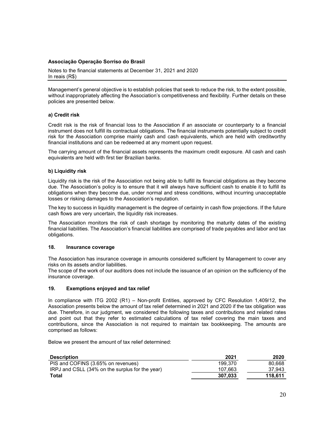Notes to the financial statements at December 31, 2021 and 2020 In reais (R\$)

Management's general objective is to establish policies that seek to reduce the risk, to the extent possible, without inappropriately affecting the Association's competitiveness and flexibility. Further details on these policies are presented below.

#### a) Credit risk

Credit risk is the risk of financial loss to the Association if an associate or counterparty to a financial instrument does not fulfill its contractual obligations. The financial instruments potentially subject to credit risk for the Association comprise mainly cash and cash equivalents, which are held with creditworthy financial institutions and can be redeemed at any moment upon request.

The carrying amount of the financial assets represents the maximum credit exposure. All cash and cash equivalents are held with first tier Brazilian banks.

#### b) Liquidity risk

Liquidity risk is the risk of the Association not being able to fulfill its financial obligations as they become due. The Association's policy is to ensure that it will always have sufficient cash to enable it to fulfill its obligations when they become due, under normal and stress conditions, without incurring unacceptable losses or risking damages to the Association's reputation.

The key to success in liquidity management is the degree of certainty in cash flow projections. If the future cash flows are very uncertain, the liquidity risk increases.

The Association monitors the risk of cash shortage by monitoring the maturity dates of the existing financial liabilities. The Association's financial liabilities are comprised of trade payables and labor and tax obligations.

#### 18. Insurance coverage

The Association has insurance coverage in amounts considered sufficient by Management to cover any risks on its assets and/or liabilities.

The scope of the work of our auditors does not include the issuance of an opinion on the sufficiency of the insurance coverage.

#### 19. Exemptions enjoyed and tax relief

In compliance with ITG 2002 (R1) – Non-profit Entities, approved by CFC Resolution 1,409/12, the Association presents below the amount of tax relief determined in 2021 and 2020 if the tax obligation was due. Therefore, in our judgment, we considered the following taxes and contributions and related rates and point out that they refer to estimated calculations of tax relief covering the main taxes and contributions, since the Association is not required to maintain tax bookkeeping. The amounts are comprised as follows:

Below we present the amount of tax relief determined:

| <b>Description</b>                              | 2021    | 2020    |
|-------------------------------------------------|---------|---------|
| PIS and COFINS (3.65% on revenues)              | 199.370 | 80.668  |
| IRPJ and CSLL (34% on the surplus for the year) | 107.663 | 37.943  |
| Total                                           | 307.033 | 118.611 |